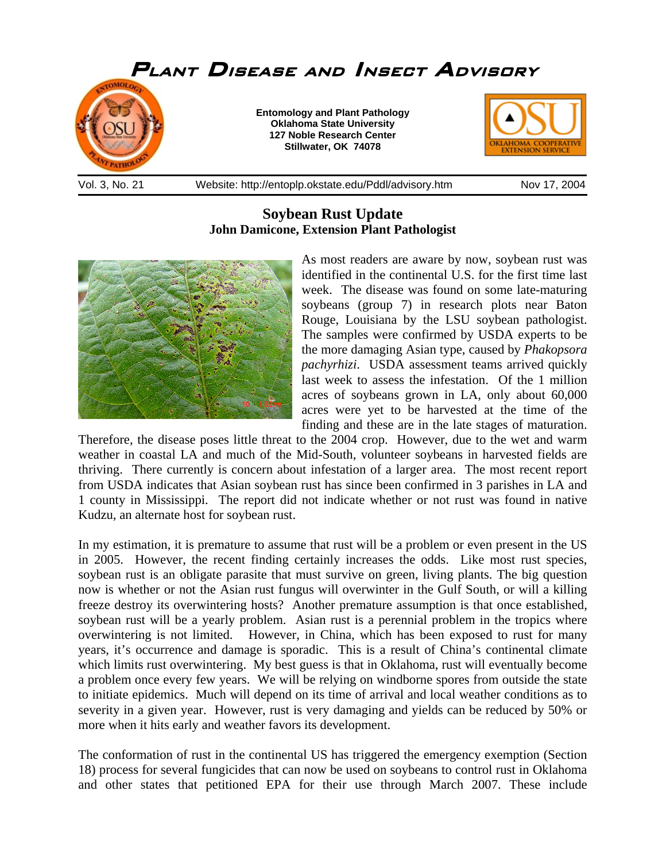

## **Soybean Rust Update John Damicone, Extension Plant Pathologist**



As most readers are aware by now, soybean rust was identified in the continental U.S. for the first time last week. The disease was found on some late-maturing soybeans (group 7) in research plots near Baton Rouge, Louisiana by the LSU soybean pathologist. The samples were confirmed by USDA experts to be the more damaging Asian type, caused by *Phakopsora pachyrhizi*. USDA assessment teams arrived quickly last week to assess the infestation. Of the 1 million acres of soybeans grown in LA, only about 60,000 acres were yet to be harvested at the time of the finding and these are in the late stages of maturation.

Therefore, the disease poses little threat to the 2004 crop. However, due to the wet and warm weather in coastal LA and much of the Mid-South, volunteer soybeans in harvested fields are thriving. There currently is concern about infestation of a larger area. The most recent report from USDA indicates that Asian soybean rust has since been confirmed in 3 parishes in LA and 1 county in Mississippi. The report did not indicate whether or not rust was found in native Kudzu, an alternate host for soybean rust.

In my estimation, it is premature to assume that rust will be a problem or even present in the US in 2005. However, the recent finding certainly increases the odds. Like most rust species, soybean rust is an obligate parasite that must survive on green, living plants. The big question now is whether or not the Asian rust fungus will overwinter in the Gulf South, or will a killing freeze destroy its overwintering hosts? Another premature assumption is that once established, soybean rust will be a yearly problem. Asian rust is a perennial problem in the tropics where overwintering is not limited. However, in China, which has been exposed to rust for many years, it's occurrence and damage is sporadic. This is a result of China's continental climate which limits rust overwintering. My best guess is that in Oklahoma, rust will eventually become a problem once every few years. We will be relying on windborne spores from outside the state to initiate epidemics. Much will depend on its time of arrival and local weather conditions as to severity in a given year. However, rust is very damaging and yields can be reduced by 50% or more when it hits early and weather favors its development.

The conformation of rust in the continental US has triggered the emergency exemption (Section 18) process for several fungicides that can now be used on soybeans to control rust in Oklahoma and other states that petitioned EPA for their use through March 2007. These include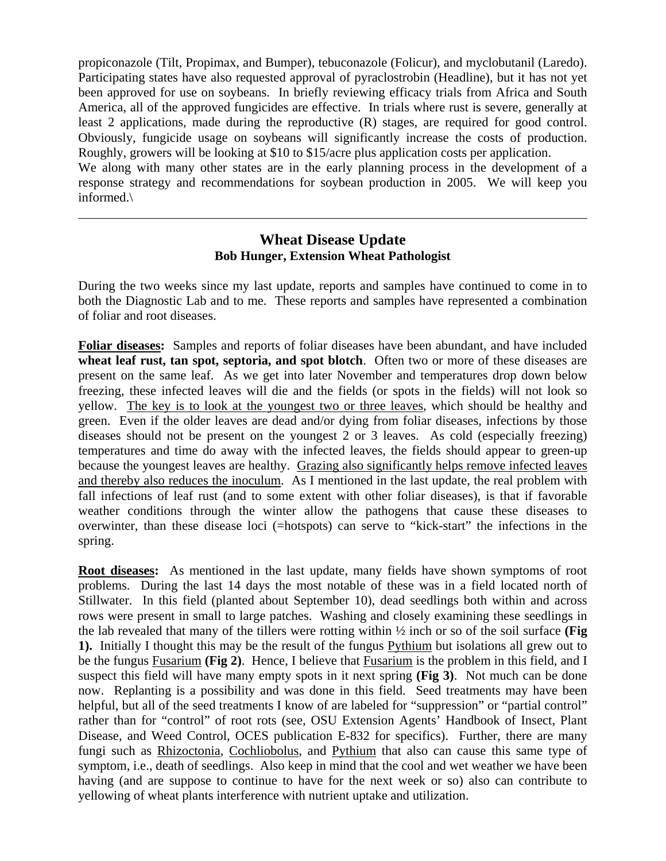propiconazole (Tilt, Propimax, and Bumper), tebuconazole (Folicur), and myclobutanil (Laredo). Participating states have also requested approval of pyraclostrobin (Headline), but it has not yet been approved for use on soybeans. In briefly reviewing efficacy trials from Africa and South America, all of the approved fungicides are effective. In trials where rust is severe, generally at least 2 applications, made during the reproductive (R) stages, are required for good control. Obviously, fungicide usage on soybeans will significantly increase the costs of production. Roughly, growers will be looking at \$10 to \$15/acre plus application costs per application.

We along with many other states are in the early planning process in the development of a response strategy and recommendations for soybean production in 2005. We will keep you informed.\

 $\overline{a}$ 

## **Wheat Disease Update Bob Hunger, Extension Wheat Pathologist**

During the two weeks since my last update, reports and samples have continued to come in to both the Diagnostic Lab and to me. These reports and samples have represented a combination of foliar and root diseases.

**Foliar diseases:** Samples and reports of foliar diseases have been abundant, and have included **wheat leaf rust, tan spot, septoria, and spot blotch**. Often two or more of these diseases are present on the same leaf. As we get into later November and temperatures drop down below freezing, these infected leaves will die and the fields (or spots in the fields) will not look so yellow. The key is to look at the youngest two or three leaves, which should be healthy and green. Even if the older leaves are dead and/or dying from foliar diseases, infections by those diseases should not be present on the youngest 2 or 3 leaves. As cold (especially freezing) temperatures and time do away with the infected leaves, the fields should appear to green-up because the youngest leaves are healthy. Grazing also significantly helps remove infected leaves and thereby also reduces the inoculum. As I mentioned in the last update, the real problem with fall infections of leaf rust (and to some extent with other foliar diseases), is that if favorable weather conditions through the winter allow the pathogens that cause these diseases to overwinter, than these disease loci (=hotspots) can serve to "kick-start" the infections in the spring.

**Root diseases:** As mentioned in the last update, many fields have shown symptoms of root problems. During the last 14 days the most notable of these was in a field located north of Stillwater. In this field (planted about September 10), dead seedlings both within and across rows were present in small to large patches. Washing and closely examining these seedlings in the lab revealed that many of the tillers were rotting within ½ inch or so of the soil surface **(Fig 1).** Initially I thought this may be the result of the fungus Pythium but isolations all grew out to be the fungus Fusarium **(Fig 2)**. Hence, I believe that Fusarium is the problem in this field, and I suspect this field will have many empty spots in it next spring **(Fig 3)**. Not much can be done now. Replanting is a possibility and was done in this field. Seed treatments may have been helpful, but all of the seed treatments I know of are labeled for "suppression" or "partial control" rather than for "control" of root rots (see, OSU Extension Agents' Handbook of Insect, Plant Disease, and Weed Control, OCES publication E-832 for specifics). Further, there are many fungi such as Rhizoctonia, Cochliobolus, and Pythium that also can cause this same type of symptom, i.e., death of seedlings. Also keep in mind that the cool and wet weather we have been having (and are suppose to continue to have for the next week or so) also can contribute to yellowing of wheat plants interference with nutrient uptake and utilization.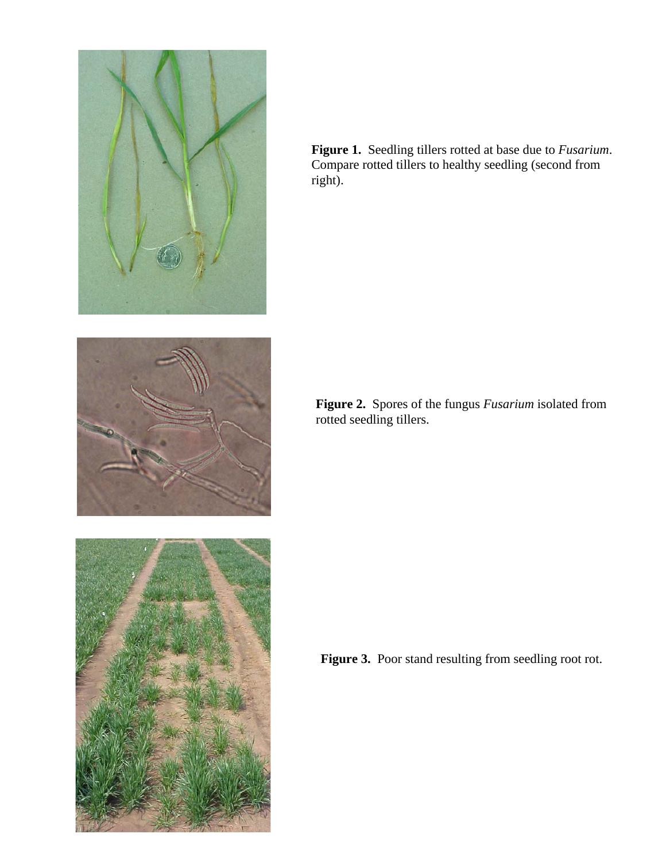

**Figure 1.** Seedling tillers rotted at base due to *Fusarium*. Compare rotted tillers to healthy seedling (second from right).



**Figure 2.** Spores of the fungus *Fusarium* isolated from rotted seedling tillers.